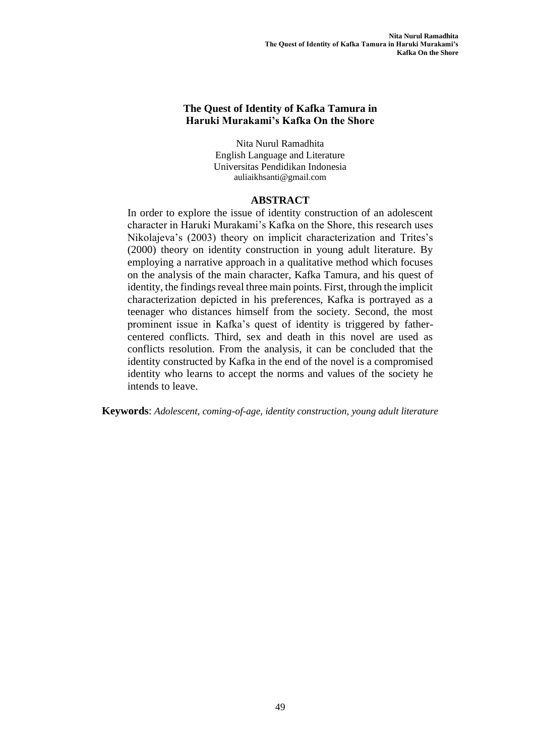### **The Quest of Identity of Kafka Tamura in Haruki Murakami's Kafka On the Shore**

Nita Nurul Ramadhita English Language and Literature Universitas Pendidikan Indonesia auliaikhsanti@gmail.com

#### **ABSTRACT**

In order to explore the issue of identity construction of an adolescent character in Haruki Murakami's Kafka on the Shore, this research uses Nikolajeva's (2003) theory on implicit characterization and Trites's (2000) theory on identity construction in young adult literature. By employing a narrative approach in a qualitative method which focuses on the analysis of the main character, Kafka Tamura, and his quest of identity, the findings reveal three main points. First, through the implicit characterization depicted in his preferences, Kafka is portrayed as a teenager who distances himself from the society. Second, the most prominent issue in Kafka's quest of identity is triggered by fathercentered conflicts. Third, sex and death in this novel are used as conflicts resolution. From the analysis, it can be concluded that the identity constructed by Kafka in the end of the novel is a compromised identity who learns to accept the norms and values of the society he intends to leave.

**Keywords**: *Adolescent, coming-of-age, identity construction, young adult literature*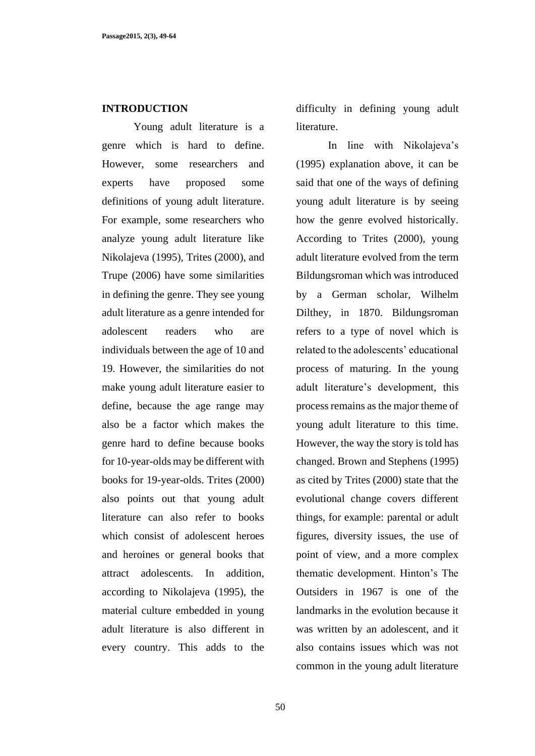#### **INTRODUCTION**

Young adult literature is a genre which is hard to define. However, some researchers and experts have proposed some definitions of young adult literature. For example, some researchers who analyze young adult literature like Nikolajeva (1995), Trites (2000), and Trupe (2006) have some similarities in defining the genre. They see young adult literature as a genre intended for adolescent readers who are individuals between the age of 10 and 19. However, the similarities do not make young adult literature easier to define, because the age range may also be a factor which makes the genre hard to define because books for 10-year-olds may be different with books for 19-year-olds. Trites (2000) also points out that young adult literature can also refer to books which consist of adolescent heroes and heroines or general books that attract adolescents. In addition, according to Nikolajeva (1995), the material culture embedded in young adult literature is also different in every country. This adds to the difficulty in defining young adult literature.

In line with Nikolajeva's (1995) explanation above, it can be said that one of the ways of defining young adult literature is by seeing how the genre evolved historically. According to Trites (2000), young adult literature evolved from the term Bildungsroman which was introduced by a German scholar, Wilhelm Dilthey, in 1870. Bildungsroman refers to a type of novel which is related to the adolescents' educational process of maturing. In the young adult literature's development, this process remains as the major theme of young adult literature to this time. However, the way the story is told has changed. Brown and Stephens (1995) as cited by Trites (2000) state that the evolutional change covers different things, for example: parental or adult figures, diversity issues, the use of point of view, and a more complex thematic development. Hinton's The Outsiders in 1967 is one of the landmarks in the evolution because it was written by an adolescent, and it also contains issues which was not common in the young adult literature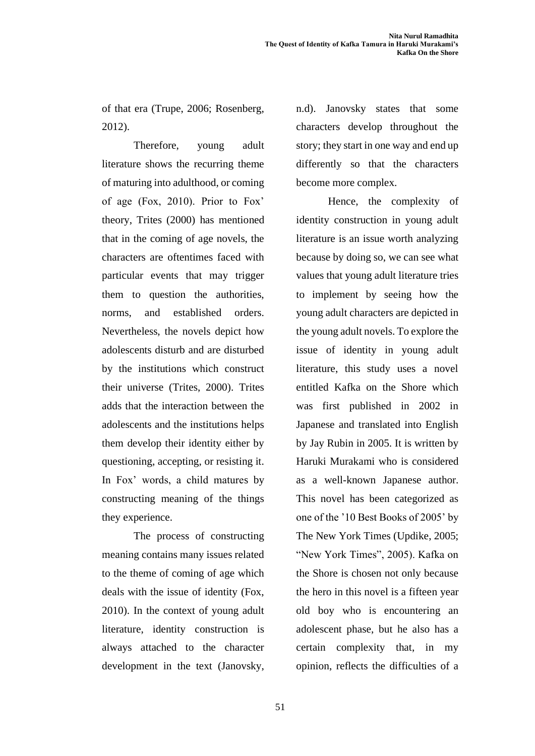of that era (Trupe, 2006; Rosenberg, 2012).

Therefore, young adult literature shows the recurring theme of maturing into adulthood, or coming of age (Fox, 2010). Prior to Fox' theory, Trites (2000) has mentioned that in the coming of age novels, the characters are oftentimes faced with particular events that may trigger them to question the authorities, norms, and established orders. Nevertheless, the novels depict how adolescents disturb and are disturbed by the institutions which construct their universe (Trites, 2000). Trites adds that the interaction between the adolescents and the institutions helps them develop their identity either by questioning, accepting, or resisting it. In Fox' words, a child matures by constructing meaning of the things they experience.

The process of constructing meaning contains many issues related to the theme of coming of age which deals with the issue of identity (Fox, 2010). In the context of young adult literature, identity construction is always attached to the character development in the text (Janovsky, n.d). Janovsky states that some characters develop throughout the story; they start in one way and end up differently so that the characters become more complex.

Hence, the complexity of identity construction in young adult literature is an issue worth analyzing because by doing so, we can see what values that young adult literature tries to implement by seeing how the young adult characters are depicted in the young adult novels. To explore the issue of identity in young adult literature, this study uses a novel entitled Kafka on the Shore which was first published in 2002 in Japanese and translated into English by Jay Rubin in 2005. It is written by Haruki Murakami who is considered as a well-known Japanese author. This novel has been categorized as one of the '10 Best Books of 2005' by The New York Times (Updike, 2005; "New York Times", 2005). Kafka on the Shore is chosen not only because the hero in this novel is a fifteen year old boy who is encountering an adolescent phase, but he also has a certain complexity that, in my opinion, reflects the difficulties of a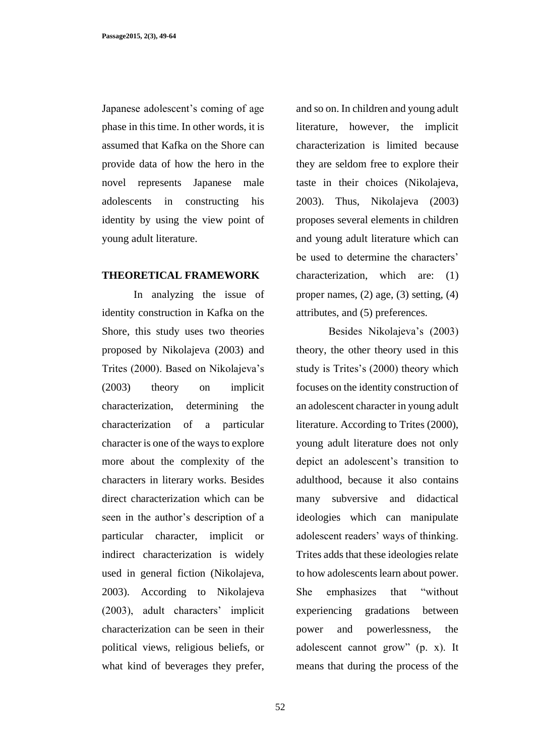Japanese adolescent's coming of age phase in this time. In other words, it is assumed that Kafka on the Shore can provide data of how the hero in the novel represents Japanese male adolescents in constructing his identity by using the view point of young adult literature.

#### **THEORETICAL FRAMEWORK**

In analyzing the issue of identity construction in Kafka on the Shore, this study uses two theories proposed by Nikolajeva (2003) and Trites (2000). Based on Nikolajeva's (2003) theory on implicit characterization, determining the characterization of a particular character is one of the ways to explore more about the complexity of the characters in literary works. Besides direct characterization which can be seen in the author's description of a particular character, implicit or indirect characterization is widely used in general fiction (Nikolajeva, 2003). According to Nikolajeva (2003), adult characters' implicit characterization can be seen in their political views, religious beliefs, or what kind of beverages they prefer, and so on. In children and young adult literature, however, the implicit characterization is limited because they are seldom free to explore their taste in their choices (Nikolajeva, 2003). Thus, Nikolajeva (2003) proposes several elements in children and young adult literature which can be used to determine the characters' characterization, which are: (1) proper names, (2) age, (3) setting, (4) attributes, and (5) preferences.

Besides Nikolajeva's (2003) theory, the other theory used in this study is Trites's (2000) theory which focuses on the identity construction of an adolescent character in young adult literature. According to Trites (2000), young adult literature does not only depict an adolescent's transition to adulthood, because it also contains many subversive and didactical ideologies which can manipulate adolescent readers' ways of thinking. Trites adds that these ideologies relate to how adolescents learn about power. She emphasizes that "without experiencing gradations between power and powerlessness, the adolescent cannot grow" (p. x). It means that during the process of the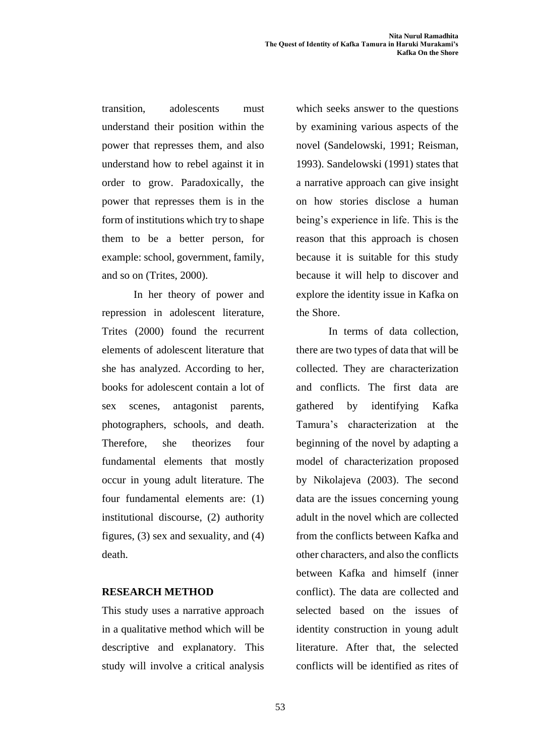transition, adolescents must understand their position within the power that represses them, and also understand how to rebel against it in order to grow. Paradoxically, the power that represses them is in the form of institutions which try to shape them to be a better person, for example: school, government, family, and so on (Trites, 2000).

In her theory of power and repression in adolescent literature, Trites (2000) found the recurrent elements of adolescent literature that she has analyzed. According to her, books for adolescent contain a lot of sex scenes, antagonist parents, photographers, schools, and death. Therefore, she theorizes four fundamental elements that mostly occur in young adult literature. The four fundamental elements are: (1) institutional discourse, (2) authority figures, (3) sex and sexuality, and (4) death.

### **RESEARCH METHOD**

This study uses a narrative approach in a qualitative method which will be descriptive and explanatory. This study will involve a critical analysis which seeks answer to the questions by examining various aspects of the novel (Sandelowski, 1991; Reisman, 1993). Sandelowski (1991) states that a narrative approach can give insight on how stories disclose a human being's experience in life. This is the reason that this approach is chosen because it is suitable for this study because it will help to discover and explore the identity issue in Kafka on the Shore.

In terms of data collection, there are two types of data that will be collected. They are characterization and conflicts. The first data are gathered by identifying Kafka Tamura's characterization at the beginning of the novel by adapting a model of characterization proposed by Nikolajeva (2003). The second data are the issues concerning young adult in the novel which are collected from the conflicts between Kafka and other characters, and also the conflicts between Kafka and himself (inner conflict). The data are collected and selected based on the issues of identity construction in young adult literature. After that, the selected conflicts will be identified as rites of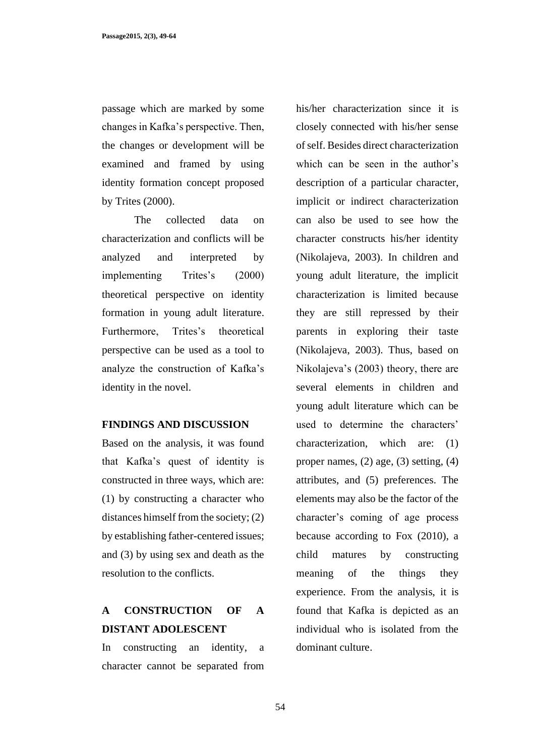passage which are marked by some changes in Kafka's perspective. Then, the changes or development will be examined and framed by using identity formation concept proposed by Trites (2000).

The collected data on characterization and conflicts will be analyzed and interpreted by implementing Trites's (2000) theoretical perspective on identity formation in young adult literature. Furthermore, Trites's theoretical perspective can be used as a tool to analyze the construction of Kafka's identity in the novel.

### **FINDINGS AND DISCUSSION**

Based on the analysis, it was found that Kafka's quest of identity is constructed in three ways, which are: (1) by constructing a character who distances himself from the society; (2) by establishing father-centered issues; and (3) by using sex and death as the resolution to the conflicts.

## **A CONSTRUCTION OF A DISTANT ADOLESCENT**

In constructing an identity, a character cannot be separated from his/her characterization since it is closely connected with his/her sense of self. Besides direct characterization which can be seen in the author's description of a particular character, implicit or indirect characterization can also be used to see how the character constructs his/her identity (Nikolajeva, 2003). In children and young adult literature, the implicit characterization is limited because they are still repressed by their parents in exploring their taste (Nikolajeva, 2003). Thus, based on Nikolajeva's (2003) theory, there are several elements in children and young adult literature which can be used to determine the characters' characterization, which are: (1) proper names, (2) age, (3) setting, (4) attributes, and (5) preferences. The elements may also be the factor of the character's coming of age process because according to Fox (2010), a child matures by constructing meaning of the things they experience. From the analysis, it is found that Kafka is depicted as an individual who is isolated from the dominant culture.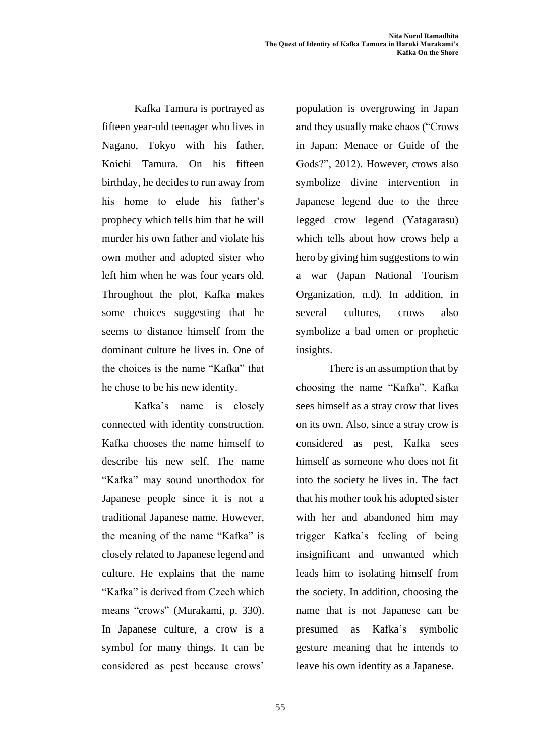Kafka Tamura is portrayed as fifteen year-old teenager who lives in Nagano, Tokyo with his father, Koichi Tamura. On his fifteen birthday, he decides to run away from his home to elude his father's prophecy which tells him that he will murder his own father and violate his own mother and adopted sister who left him when he was four years old. Throughout the plot, Kafka makes some choices suggesting that he seems to distance himself from the dominant culture he lives in. One of the choices is the name "Kafka" that he chose to be his new identity.

Kafka's name is closely connected with identity construction. Kafka chooses the name himself to describe his new self. The name "Kafka" may sound unorthodox for Japanese people since it is not a traditional Japanese name. However, the meaning of the name "Kafka" is closely related to Japanese legend and culture. He explains that the name "Kafka" is derived from Czech which means "crows" (Murakami, p. 330). In Japanese culture, a crow is a symbol for many things. It can be considered as pest because crows'

population is overgrowing in Japan and they usually make chaos ("Crows in Japan: Menace or Guide of the Gods?", 2012). However, crows also symbolize divine intervention in Japanese legend due to the three legged crow legend (Yatagarasu) which tells about how crows help a hero by giving him suggestions to win a war (Japan National Tourism Organization, n.d). In addition, in several cultures, crows also symbolize a bad omen or prophetic insights.

There is an assumption that by choosing the name "Kafka", Kafka sees himself as a stray crow that lives on its own. Also, since a stray crow is considered as pest, Kafka sees himself as someone who does not fit into the society he lives in. The fact that his mother took his adopted sister with her and abandoned him may trigger Kafka's feeling of being insignificant and unwanted which leads him to isolating himself from the society. In addition, choosing the name that is not Japanese can be presumed as Kafka's symbolic gesture meaning that he intends to leave his own identity as a Japanese.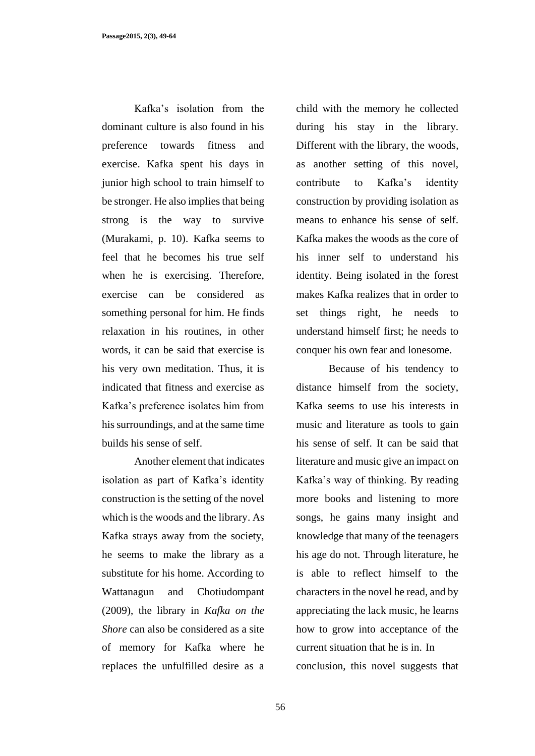Kafka's isolation from the dominant culture is also found in his preference towards fitness and exercise. Kafka spent his days in junior high school to train himself to be stronger. He also implies that being strong is the way to survive (Murakami, p. 10). Kafka seems to feel that he becomes his true self when he is exercising. Therefore, exercise can be considered as something personal for him. He finds relaxation in his routines, in other words, it can be said that exercise is his very own meditation. Thus, it is indicated that fitness and exercise as Kafka's preference isolates him from his surroundings, and at the same time builds his sense of self.

Another element that indicates isolation as part of Kafka's identity construction is the setting of the novel which is the woods and the library. As Kafka strays away from the society, he seems to make the library as a substitute for his home. According to Wattanagun and Chotiudompant (2009), the library in *Kafka on the Shore* can also be considered as a site of memory for Kafka where he replaces the unfulfilled desire as a

child with the memory he collected during his stay in the library. Different with the library, the woods, as another setting of this novel, contribute to Kafka's identity construction by providing isolation as means to enhance his sense of self. Kafka makes the woods as the core of his inner self to understand his identity. Being isolated in the forest makes Kafka realizes that in order to set things right, he needs to understand himself first; he needs to conquer his own fear and lonesome.

Because of his tendency to distance himself from the society, Kafka seems to use his interests in music and literature as tools to gain his sense of self. It can be said that literature and music give an impact on Kafka's way of thinking. By reading more books and listening to more songs, he gains many insight and knowledge that many of the teenagers his age do not. Through literature, he is able to reflect himself to the characters in the novel he read, and by appreciating the lack music, he learns how to grow into acceptance of the current situation that he is in. In conclusion, this novel suggests that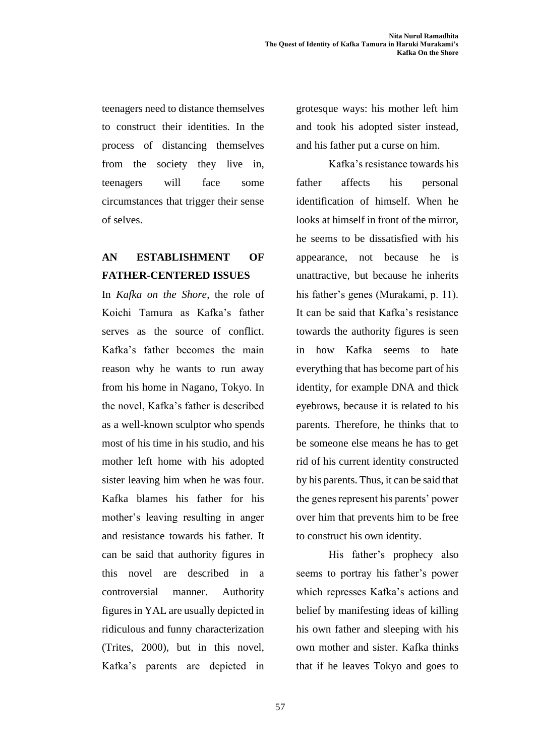teenagers need to distance themselves to construct their identities. In the process of distancing themselves from the society they live in, teenagers will face some circumstances that trigger their sense of selves.

# **AN ESTABLISHMENT OF FATHER-CENTERED ISSUES**

In *Kafka on the Shore*, the role of Koichi Tamura as Kafka's father serves as the source of conflict. Kafka's father becomes the main reason why he wants to run away from his home in Nagano, Tokyo. In the novel, Kafka's father is described as a well-known sculptor who spends most of his time in his studio, and his mother left home with his adopted sister leaving him when he was four. Kafka blames his father for his mother's leaving resulting in anger and resistance towards his father. It can be said that authority figures in this novel are described in a controversial manner. Authority figures in YAL are usually depicted in ridiculous and funny characterization (Trites, 2000), but in this novel, Kafka's parents are depicted in grotesque ways: his mother left him and took his adopted sister instead, and his father put a curse on him.

Kafka's resistance towards his father affects his personal identification of himself. When he looks at himself in front of the mirror, he seems to be dissatisfied with his appearance, not because he is unattractive, but because he inherits his father's genes (Murakami, p. 11). It can be said that Kafka's resistance towards the authority figures is seen in how Kafka seems to hate everything that has become part of his identity, for example DNA and thick eyebrows, because it is related to his parents. Therefore, he thinks that to be someone else means he has to get rid of his current identity constructed by his parents. Thus, it can be said that the genes represent his parents' power over him that prevents him to be free to construct his own identity.

His father's prophecy also seems to portray his father's power which represses Kafka's actions and belief by manifesting ideas of killing his own father and sleeping with his own mother and sister. Kafka thinks that if he leaves Tokyo and goes to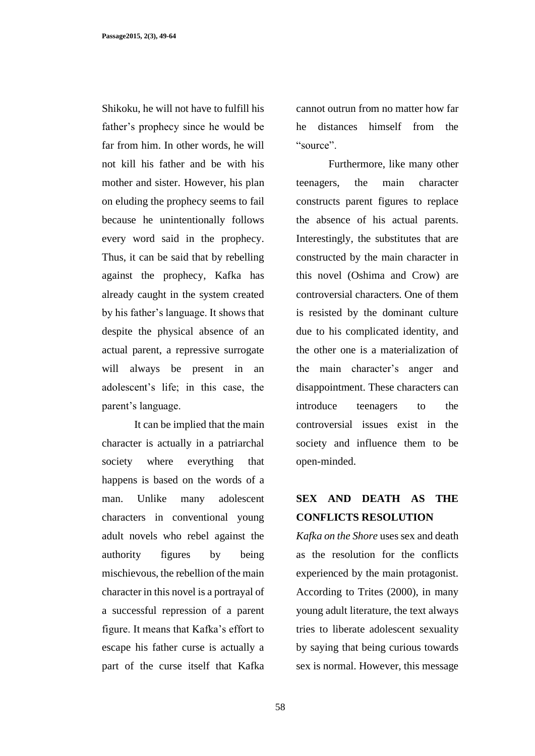Shikoku, he will not have to fulfill his father's prophecy since he would be far from him. In other words, he will not kill his father and be with his mother and sister. However, his plan on eluding the prophecy seems to fail because he unintentionally follows every word said in the prophecy. Thus, it can be said that by rebelling against the prophecy, Kafka has already caught in the system created by his father's language. It shows that despite the physical absence of an actual parent, a repressive surrogate will always be present in an adolescent's life; in this case, the parent's language.

It can be implied that the main character is actually in a patriarchal society where everything that happens is based on the words of a man. Unlike many adolescent characters in conventional young adult novels who rebel against the authority figures by being mischievous, the rebellion of the main character in this novel is a portrayal of a successful repression of a parent figure. It means that Kafka's effort to escape his father curse is actually a part of the curse itself that Kafka

cannot outrun from no matter how far he distances himself from the "source".

Furthermore, like many other teenagers, the main character constructs parent figures to replace the absence of his actual parents. Interestingly, the substitutes that are constructed by the main character in this novel (Oshima and Crow) are controversial characters. One of them is resisted by the dominant culture due to his complicated identity, and the other one is a materialization of the main character's anger and disappointment. These characters can introduce teenagers to the controversial issues exist in the society and influence them to be open-minded.

### **SEX AND DEATH AS THE CONFLICTS RESOLUTION**

*Kafka on the Shore* uses sex and death as the resolution for the conflicts experienced by the main protagonist. According to Trites (2000), in many young adult literature, the text always tries to liberate adolescent sexuality by saying that being curious towards sex is normal. However, this message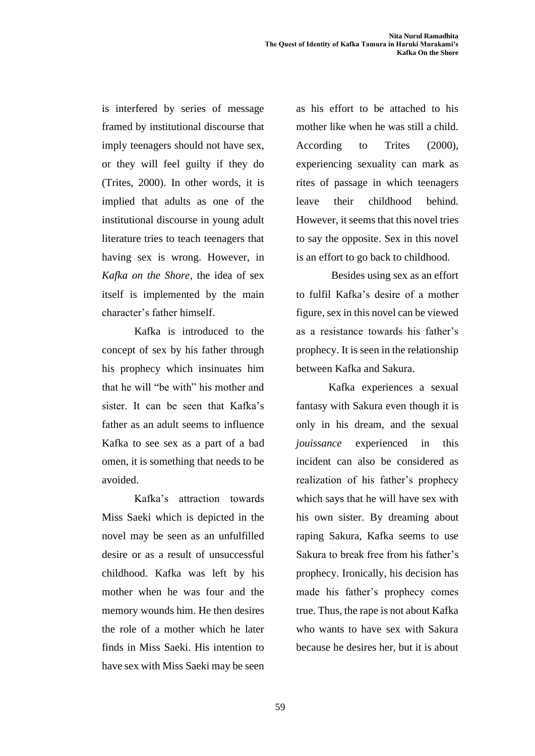is interfered by series of message framed by institutional discourse that imply teenagers should not have sex, or they will feel guilty if they do (Trites, 2000). In other words, it is implied that adults as one of the institutional discourse in young adult literature tries to teach teenagers that having sex is wrong. However, in *Kafka on the Shore*, the idea of sex itself is implemented by the main character's father himself.

Kafka is introduced to the concept of sex by his father through his prophecy which insinuates him that he will "be with" his mother and sister. It can be seen that Kafka's father as an adult seems to influence Kafka to see sex as a part of a bad omen, it is something that needs to be avoided.

Kafka's attraction towards Miss Saeki which is depicted in the novel may be seen as an unfulfilled desire or as a result of unsuccessful childhood. Kafka was left by his mother when he was four and the memory wounds him. He then desires the role of a mother which he later finds in Miss Saeki. His intention to have sex with Miss Saeki may be seen as his effort to be attached to his mother like when he was still a child. According to Trites (2000), experiencing sexuality can mark as rites of passage in which teenagers leave their childhood behind. However, it seems that this novel tries to say the opposite. Sex in this novel is an effort to go back to childhood.

Besides using sex as an effort to fulfil Kafka's desire of a mother figure, sex in this novel can be viewed as a resistance towards his father's prophecy. It is seen in the relationship between Kafka and Sakura.

Kafka experiences a sexual fantasy with Sakura even though it is only in his dream, and the sexual *jouissance* experienced in this incident can also be considered as realization of his father's prophecy which says that he will have sex with his own sister. By dreaming about raping Sakura, Kafka seems to use Sakura to break free from his father's prophecy. Ironically, his decision has made his father's prophecy comes true. Thus, the rape is not about Kafka who wants to have sex with Sakura because he desires her, but it is about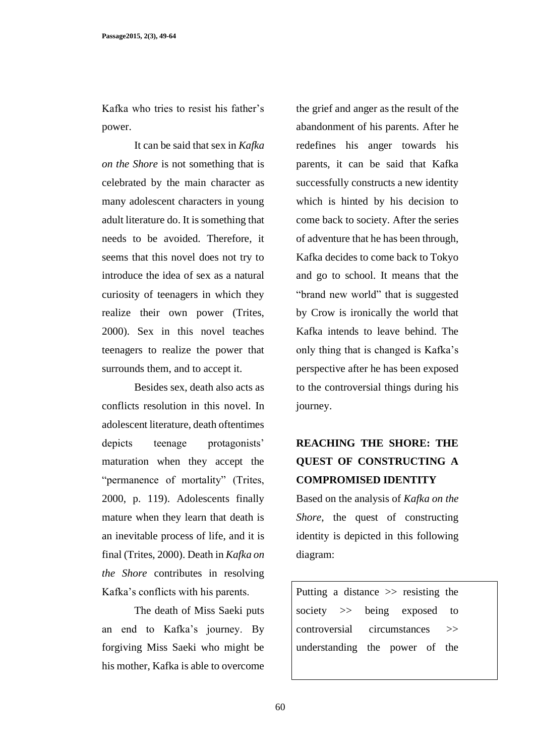Kafka who tries to resist his father's power.

It can be said that sex in *Kafka on the Shore* is not something that is celebrated by the main character as many adolescent characters in young adult literature do. It is something that needs to be avoided. Therefore, it seems that this novel does not try to introduce the idea of sex as a natural curiosity of teenagers in which they realize their own power (Trites, 2000). Sex in this novel teaches teenagers to realize the power that surrounds them, and to accept it.

Besides sex, death also acts as conflicts resolution in this novel. In adolescent literature, death oftentimes depicts teenage protagonists' maturation when they accept the "permanence of mortality" (Trites, 2000, p. 119). Adolescents finally mature when they learn that death is an inevitable process of life, and it is final (Trites, 2000). Death in *Kafka on the Shore* contributes in resolving Kafka's conflicts with his parents.

The death of Miss Saeki puts an end to Kafka's journey. By forgiving Miss Saeki who might be his mother, Kafka is able to overcome the grief and anger as the result of the abandonment of his parents. After he redefines his anger towards his parents, it can be said that Kafka successfully constructs a new identity which is hinted by his decision to come back to society. After the series of adventure that he has been through, Kafka decides to come back to Tokyo and go to school. It means that the "brand new world" that is suggested by Crow is ironically the world that Kafka intends to leave behind. The only thing that is changed is Kafka's perspective after he has been exposed to the controversial things during his journey.

# **REACHING THE SHORE: THE QUEST OF CONSTRUCTING A COMPROMISED IDENTITY**

Based on the analysis of *Kafka on the Shore*, the quest of constructing identity is depicted in this following diagram:

Putting a distance >> resisting the society  $\gg$  being exposed to controversial circumstances >> understanding the power of the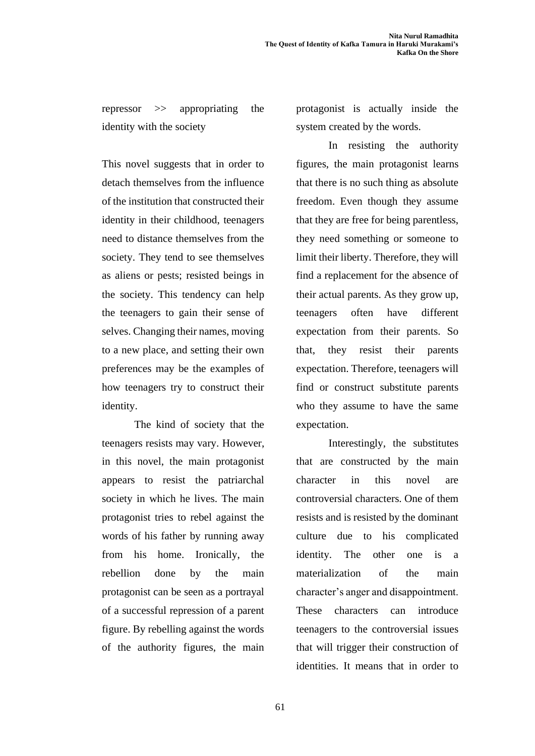repressor >> appropriating the identity with the society

This novel suggests that in order to detach themselves from the influence of the institution that constructed their identity in their childhood, teenagers need to distance themselves from the society. They tend to see themselves as aliens or pests; resisted beings in the society. This tendency can help the teenagers to gain their sense of selves. Changing their names, moving to a new place, and setting their own preferences may be the examples of how teenagers try to construct their identity.

The kind of society that the teenagers resists may vary. However, in this novel, the main protagonist appears to resist the patriarchal society in which he lives. The main protagonist tries to rebel against the words of his father by running away from his home. Ironically, the rebellion done by the main protagonist can be seen as a portrayal of a successful repression of a parent figure. By rebelling against the words of the authority figures, the main protagonist is actually inside the system created by the words.

In resisting the authority figures, the main protagonist learns that there is no such thing as absolute freedom. Even though they assume that they are free for being parentless, they need something or someone to limit their liberty. Therefore, they will find a replacement for the absence of their actual parents. As they grow up, teenagers often have different expectation from their parents. So that, they resist their parents expectation. Therefore, teenagers will find or construct substitute parents who they assume to have the same expectation.

Interestingly, the substitutes that are constructed by the main character in this novel are controversial characters. One of them resists and is resisted by the dominant culture due to his complicated identity. The other one is a materialization of the main character's anger and disappointment. These characters can introduce teenagers to the controversial issues that will trigger their construction of identities. It means that in order to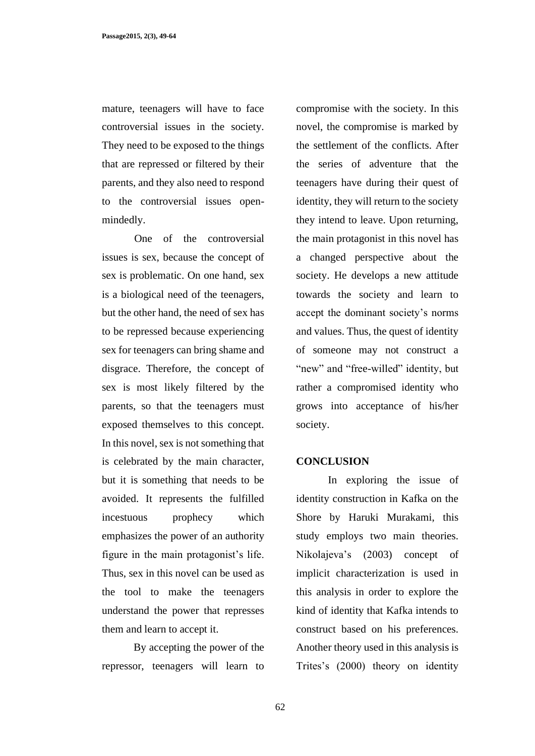mature, teenagers will have to face controversial issues in the society. They need to be exposed to the things that are repressed or filtered by their parents, and they also need to respond to the controversial issues openmindedly.

One of the controversial issues is sex, because the concept of sex is problematic. On one hand, sex is a biological need of the teenagers, but the other hand, the need of sex has to be repressed because experiencing sex for teenagers can bring shame and disgrace. Therefore, the concept of sex is most likely filtered by the parents, so that the teenagers must exposed themselves to this concept. In this novel, sex is not something that is celebrated by the main character, but it is something that needs to be avoided. It represents the fulfilled incestuous prophecy which emphasizes the power of an authority figure in the main protagonist's life. Thus, sex in this novel can be used as the tool to make the teenagers understand the power that represses them and learn to accept it.

By accepting the power of the repressor, teenagers will learn to compromise with the society. In this novel, the compromise is marked by the settlement of the conflicts. After the series of adventure that the teenagers have during their quest of identity, they will return to the society they intend to leave. Upon returning, the main protagonist in this novel has a changed perspective about the society. He develops a new attitude towards the society and learn to accept the dominant society's norms and values. Thus, the quest of identity of someone may not construct a "new" and "free-willed" identity, but rather a compromised identity who grows into acceptance of his/her society.

### **CONCLUSION**

In exploring the issue of identity construction in Kafka on the Shore by Haruki Murakami, this study employs two main theories. Nikolajeva's (2003) concept of implicit characterization is used in this analysis in order to explore the kind of identity that Kafka intends to construct based on his preferences. Another theory used in this analysis is Trites's (2000) theory on identity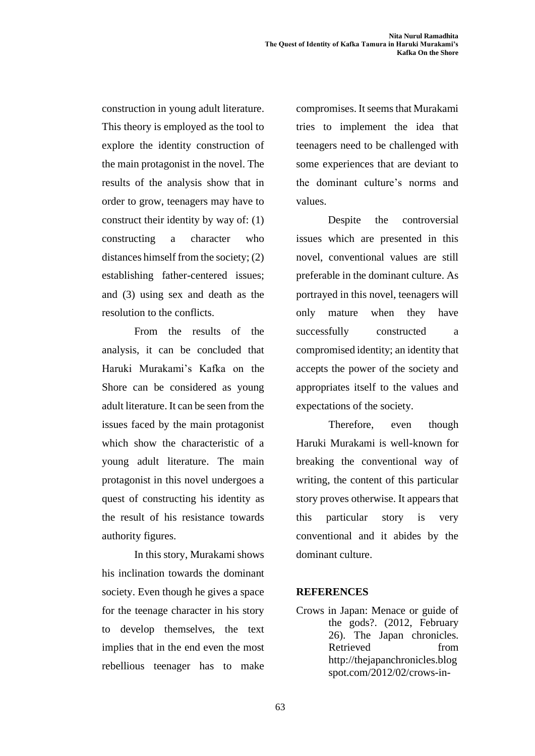construction in young adult literature. This theory is employed as the tool to explore the identity construction of the main protagonist in the novel. The results of the analysis show that in order to grow, teenagers may have to construct their identity by way of: (1) constructing a character who distances himself from the society; (2) establishing father-centered issues; and (3) using sex and death as the resolution to the conflicts.

From the results of the analysis, it can be concluded that Haruki Murakami's Kafka on the Shore can be considered as young adult literature. It can be seen from the issues faced by the main protagonist which show the characteristic of a young adult literature. The main protagonist in this novel undergoes a quest of constructing his identity as the result of his resistance towards authority figures.

In this story, Murakami shows his inclination towards the dominant society. Even though he gives a space for the teenage character in his story to develop themselves, the text implies that in the end even the most rebellious teenager has to make compromises. It seems that Murakami tries to implement the idea that teenagers need to be challenged with some experiences that are deviant to the dominant culture's norms and values.

Despite the controversial issues which are presented in this novel, conventional values are still preferable in the dominant culture. As portrayed in this novel, teenagers will only mature when they have successfully constructed a compromised identity; an identity that accepts the power of the society and appropriates itself to the values and expectations of the society.

Therefore, even though Haruki Murakami is well-known for breaking the conventional way of writing, the content of this particular story proves otherwise. It appears that this particular story is very conventional and it abides by the dominant culture.

### **REFERENCES**

Crows in Japan: Menace or guide of the gods?. (2012, February 26). The Japan chronicles. Retrieved from http://thejapanchronicles.blog spot.com/2012/02/crows-in